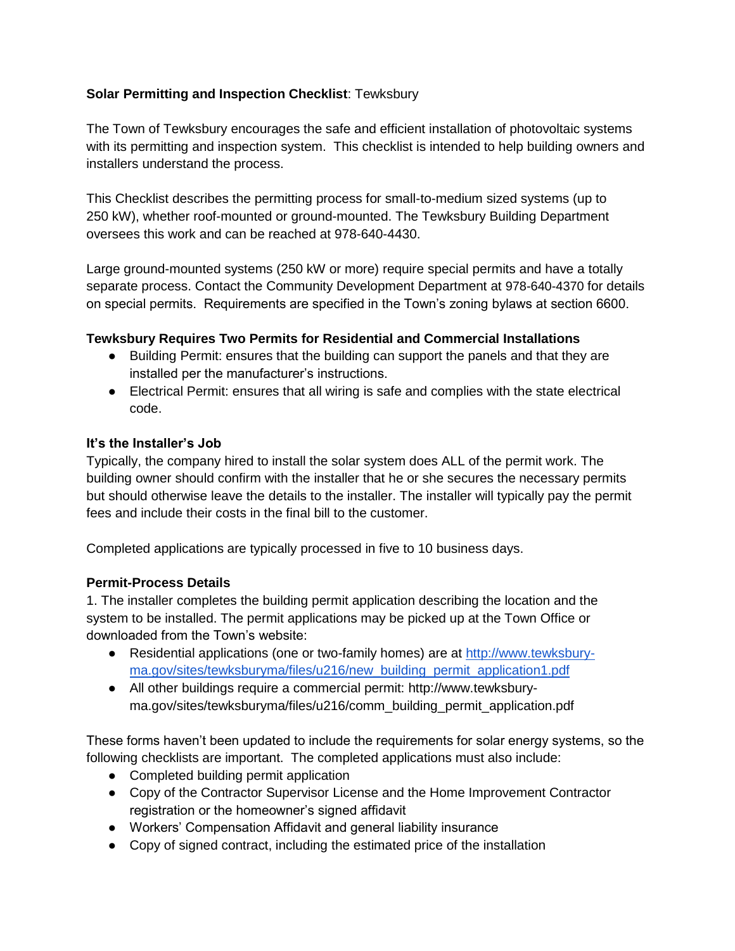# **Solar Permitting and Inspection Checklist**: Tewksbury

The Town of Tewksbury encourages the safe and efficient installation of photovoltaic systems with its permitting and inspection system. This checklist is intended to help building owners and installers understand the process.

This Checklist describes the permitting process for small-to-medium sized systems (up to 250 kW), whether roof-mounted or ground-mounted. The Tewksbury Building Department oversees this work and can be reached at 978-640-4430.

Large ground-mounted systems (250 kW or more) require special permits and have a totally separate process. Contact the Community Development Department at 978-640-4370 for details on special permits. Requirements are specified in the Town's zoning bylaws at section 6600.

## **Tewksbury Requires Two Permits for Residential and Commercial Installations**

- Building Permit: ensures that the building can support the panels and that they are installed per the manufacturer's instructions.
- Electrical Permit: ensures that all wiring is safe and complies with the state electrical code.

## **It's the Installer's Job**

Typically, the company hired to install the solar system does ALL of the permit work. The building owner should confirm with the installer that he or she secures the necessary permits but should otherwise leave the details to the installer. The installer will typically pay the permit fees and include their costs in the final bill to the customer.

Completed applications are typically processed in five to 10 business days.

#### **Permit-Process Details**

1. The installer completes the building permit application describing the location and the system to be installed. The permit applications may be picked up at the Town Office or downloaded from the Town's website:

- Residential applications (one or two-family homes) are at [http://www.tewksbury](http://www.tewksbury-ma.gov/sites/tewksburyma/files/u216/new_building_permit_application1.pdf)[ma.gov/sites/tewksburyma/files/u216/new\\_building\\_permit\\_application1.pdf](http://www.tewksbury-ma.gov/sites/tewksburyma/files/u216/new_building_permit_application1.pdf)
- All other buildings require a commercial permit: http://www.tewksburyma.gov/sites/tewksburyma/files/u216/comm\_building\_permit\_application.pdf

These forms haven't been updated to include the requirements for solar energy systems, so the following checklists are important. The completed applications must also include:

- Completed building permit application
- Copy of the Contractor Supervisor License and the Home Improvement Contractor registration or the homeowner's signed affidavit
- Workers' Compensation Affidavit and general liability insurance
- Copy of signed contract, including the estimated price of the installation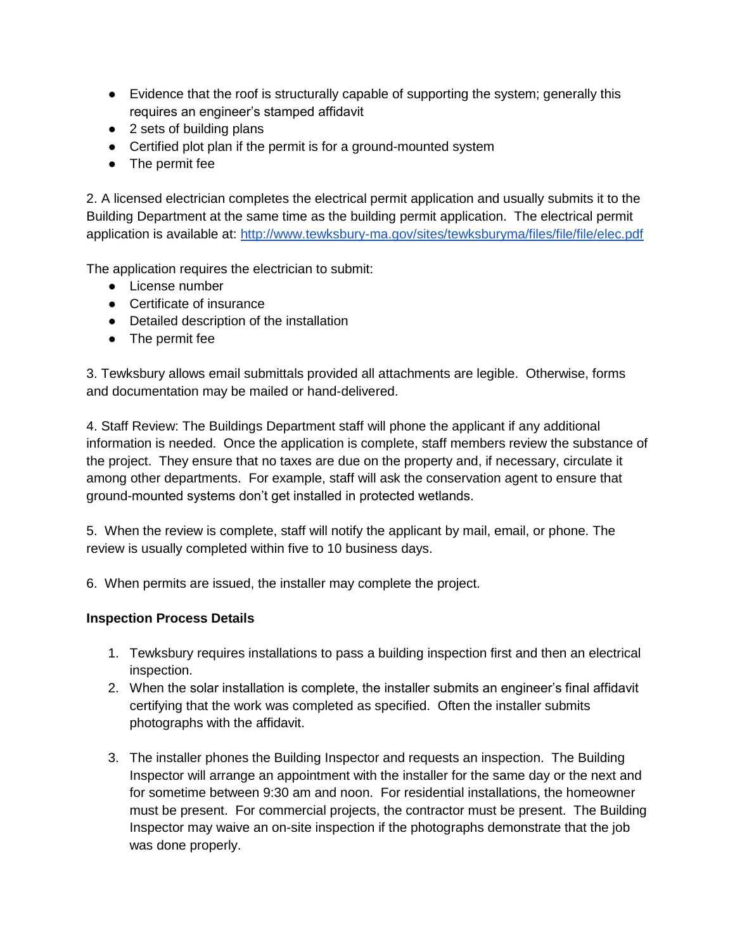- Evidence that the roof is structurally capable of supporting the system; generally this requires an engineer's stamped affidavit
- 2 sets of building plans
- Certified plot plan if the permit is for a ground-mounted system
- The permit fee

2. A licensed electrician completes the electrical permit application and usually submits it to the Building Department at the same time as the building permit application. The electrical permit application is available at:<http://www.tewksbury-ma.gov/sites/tewksburyma/files/file/file/elec.pdf>

The application requires the electrician to submit:

- License number
- Certificate of insurance
- Detailed description of the installation
- The permit fee

3. Tewksbury allows email submittals provided all attachments are legible. Otherwise, forms and documentation may be mailed or hand-delivered.

4. Staff Review: The Buildings Department staff will phone the applicant if any additional information is needed. Once the application is complete, staff members review the substance of the project. They ensure that no taxes are due on the property and, if necessary, circulate it among other departments. For example, staff will ask the conservation agent to ensure that ground-mounted systems don't get installed in protected wetlands.

5. When the review is complete, staff will notify the applicant by mail, email, or phone. The review is usually completed within five to 10 business days.

6. When permits are issued, the installer may complete the project.

#### **Inspection Process Details**

- 1. Tewksbury requires installations to pass a building inspection first and then an electrical inspection.
- 2. When the solar installation is complete, the installer submits an engineer's final affidavit certifying that the work was completed as specified. Often the installer submits photographs with the affidavit.
- 3. The installer phones the Building Inspector and requests an inspection. The Building Inspector will arrange an appointment with the installer for the same day or the next and for sometime between 9:30 am and noon. For residential installations, the homeowner must be present. For commercial projects, the contractor must be present. The Building Inspector may waive an on-site inspection if the photographs demonstrate that the job was done properly.